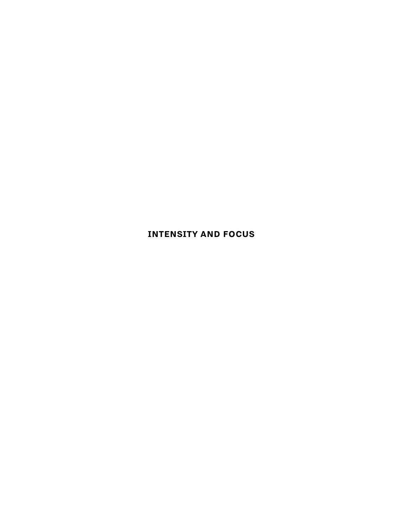# **INTENSITY AND FOCUS**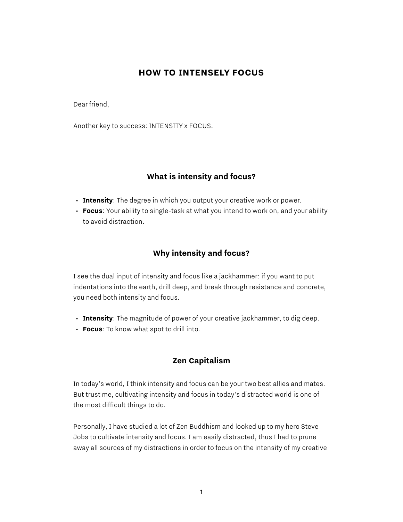### **HOW TO INTENSELY FOCUS**

Dear friend,

Another key to success: INTENSITY x FOCUS.

#### **What is intensity and focus?**

- **Intensity**: The degree in which you output your creative work or power.
- **Focus**: Your ability to single-task at what you intend to work on, and your ability to avoid distraction.

#### **Why intensity and focus?**

I see the dual input of intensity and focus like a jackhammer: if you want to put indentations into the earth, drill deep, and break through resistance and concrete, you need both intensity and focus.

- **Intensity**: The magnitude of power of your creative jackhammer, to dig deep.
- **Focus**: To know what spot to drill into.

#### **Zen Capitalism**

In today's world, I think intensity and focus can be your two best allies and mates. But trust me, cultivating intensity and focus in today's distracted world is one of the most difficult things to do.

Personally, I have studied a lot of Zen Buddhism and looked up to my hero Steve Jobs to cultivate intensity and focus. I am easily distracted, thus I had to prune away all sources of my distractions in order to focus on the intensity of my creative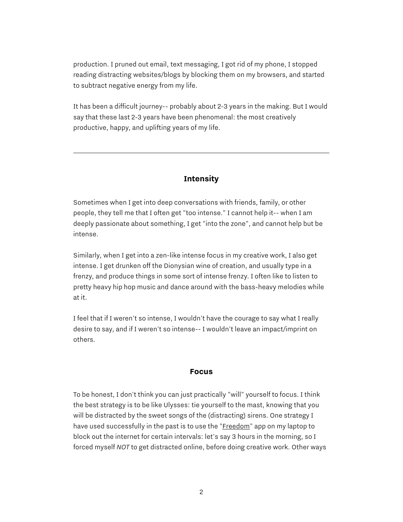production. I pruned out email, text messaging, I got rid of my phone, I stopped reading distracting websites/blogs by blocking them on my browsers, and started to subtract negative energy from my life.

It has been a difficult journey-- probably about 2-3 years in the making. But I would say that these last 2-3 years have been phenomenal: the most creatively productive, happy, and uplifting years of my life.

# **Intensity**

Sometimes when I get into deep conversations with friends, family, or other people, they tell me that I often get "too intense." I cannot help it-- when I am deeply passionate about something, I get "into the zone", and cannot help but be intense.

Similarly, when I get into a zen-like intense focus in my creative work, I also get intense. I get drunken off the Dionysian wine of creation, and usually type in a frenzy, and produce things in some sort of intense frenzy. I often like to listen to pretty heavy hip hop music and dance around with the bass-heavy melodies while at it.

I feel that if I weren't so intense, I wouldn't have the courage to say what I really desire to say, and if I weren't so intense-- I wouldn't leave an impact/imprint on others.

#### **Focus**

To be honest, I don't think you can just practically "will" yourself to focus. I think the best strategy is to be like Ulysses: tie yourself to the mast, knowing that you will be distracted by the sweet songs of the (distracting) sirens. One strategy I have used successfully in the past is to use the ["Freedom"](http://freedom.to/) app on my laptop to block out the internet for certain intervals: let's say 3 hours in the morning, so I forced myself *NOT* to get distracted online, before doing creative work. Other ways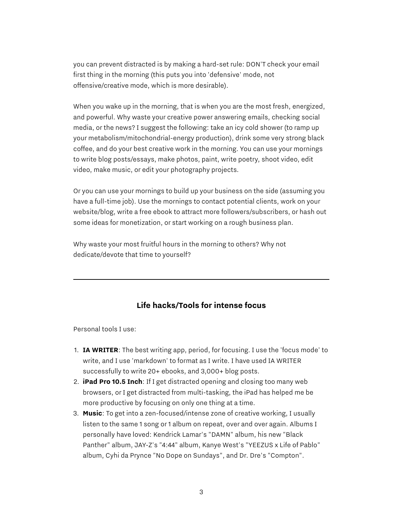you can prevent distracted is by making a hard-set rule: DON'T check your email first thing in the morning (this puts you into 'defensive' mode, not offensive/creative mode, which is more desirable).

When you wake up in the morning, that is when you are the most fresh, energized, and powerful. Why waste your creative power answering emails, checking social media, or the news? I suggest the following: take an icy cold shower (to ramp up your metabolism/mitochondrial-energy production), drink some very strong black coffee, and do your best creative work in the morning. You can use your mornings to write blog posts/essays, make photos, paint, write poetry, shoot video, edit video, make music, or edit your photography projects.

Or you can use your mornings to build up your business on the side (assuming you have a full-time job). Use the mornings to contact potential clients, work on your website/blog, write a free ebook to attract more followers/subscribers, or hash out some ideas for monetization, or start working on a rough business plan.

Why waste your most fruitful hours in the morning to others? Why not dedicate/devote that time to yourself?

## **Life hacks/Tools for intense focus**

Personal tools I use:

- 1. **IA WRITER**: The best writing app, period, for focusing. I use the 'focus mode' to write, and I use 'markdown' to format as I write. I have used IA WRITER successfully to write 20+ ebooks, and 3,000+ blog posts.
- 2. **iPad Pro 10.5 Inch**: If I get distracted opening and closing too many web browsers, or I get distracted from multi-tasking, the iPad has helped me be more productive by focusing on only one thing at a time.
- 3. **Music**: To get into a zen-focused/intense zone of creative working, I usually listen to the same 1 song or 1 album on repeat, over and over again. Albums I personally have loved: Kendrick Lamar's "DAMN" album, his new "Black Panther" album, JAY-Z's "4:44" album, Kanye West's "YEEZUS x Life of Pablo" album, Cyhi da Prynce "No Dope on Sundays", and Dr. Dre's "Compton".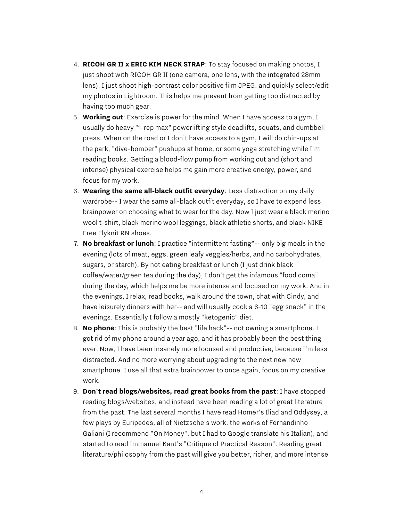- 4. **RICOH GR II x ERIC KIM NECK STRAP**: To stay focused on making photos, I just shoot with RICOH GR II (one camera, one lens, with the integrated 28mm lens). I just shoot high-contrast color positive film JPEG, and quickly select/edit my photos in Lightroom. This helps me prevent from getting too distracted by having too much gear.
- 5. **Working out**: Exercise is power for the mind. When I have access to a gym, I usually do heavy "1-rep max" powerlifting style deadlifts, squats, and dumbbell press. When on the road or I don't have access to a gym, I will do chin-ups at the park, "dive-bomber" pushups at home, or some yoga stretching while I'm reading books. Getting a blood-flow pump from working out and (short and intense) physical exercise helps me gain more creative energy, power, and focus for my work.
- 6. **Wearing the same all-black outfit everyday**: Less distraction on my daily wardrobe-- I wear the same all-black outfit everyday, so I have to expend less brainpower on choosing what to wear for the day. Now I just wear a black merino wool t-shirt, black merino wool leggings, black athletic shorts, and black NIKE Free Flyknit RN shoes.
- 7. **No breakfast or lunch**: I practice "intermittent fasting"-- only big meals in the evening (lots of meat, eggs, green leafy veggies/herbs, and no carbohydrates, sugars, or starch). By not eating breakfast or lunch (I just drink black coffee/water/green tea during the day), I don't get the infamous "food coma" during the day, which helps me be more intense and focused on my work. And in the evenings, I relax, read books, walk around the town, chat with Cindy, and have leisurely dinners with her-- and will usually cook a 6-10 "egg snack" in the evenings. Essentially I follow a mostly "ketogenic" diet.
- 8. **No phone**: This is probably the best "life hack"-- not owning a smartphone. I got rid of my phone around a year ago, and it has probably been the best thing ever. Now, I have been insanely more focused and productive, because I'm less distracted. And no more worrying about upgrading to the next new new smartphone. I use all that extra brainpower to once again, focus on my creative work.
- 9. **Don't read blogs/websites, read great books from the past**: I have stopped reading blogs/websites, and instead have been reading a lot of great literature from the past. The last several months I have read Homer's Iliad and Oddysey, a few plays by Euripedes, all of Nietzsche's work, the works of Fernandinho Galiani (I recommend "On Money", but I had to Google translate his Italian), and started to read Immanuel Kant's "Critique of Practical Reason". Reading great literature/philosophy from the past will give you better, richer, and more intense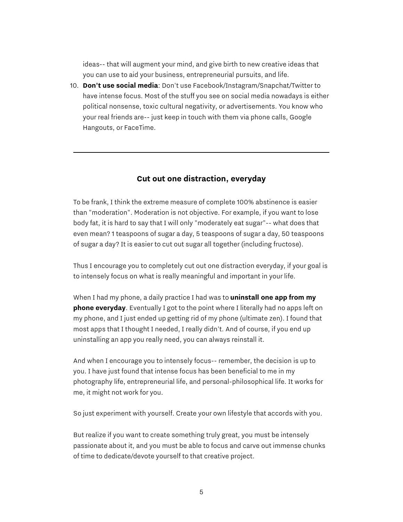ideas-- that will augment your mind, and give birth to new creative ideas that you can use to aid your business, entrepreneurial pursuits, and life.

10. **Don't use social media**: Don't use Facebook/Instagram/Snapchat/Twitter to have intense focus. Most of the stuff you see on social media nowadays is either political nonsense, toxic cultural negativity, or advertisements. You know who your real friends are-- just keep in touch with them via phone calls, Google Hangouts, or FaceTime.

#### **Cut out one distraction, everyday**

To be frank, I think the extreme measure of complete 100% abstinence is easier than "moderation". Moderation is not objective. For example, if you want to lose body fat, it is hard to say that I will only "moderately eat sugar"-- what does that even mean? 1 teaspoons of sugar a day, 5 teaspoons of sugar a day, 50 teaspoons of sugar a day? It is easier to cut out sugar all together (including fructose).

Thus I encourage you to completely cut out one distraction everyday, if your goal is to intensely focus on what is really meaningful and important in your life.

When I had my phone, a daily practice I had was to **uninstall one app from my phone everyday**. Eventually I got to the point where I literally had no apps left on my phone, and I just ended up getting rid of my phone (ultimate zen). I found that most apps that I thought I needed, I really didn't. And of course, if you end up uninstalling an app you really need, you can always reinstall it.

And when I encourage you to intensely focus-- remember, the decision is up to you. I have just found that intense focus has been beneficial to me in my photography life, entrepreneurial life, and personal-philosophical life. It works for me, it might not work for you.

So just experiment with yourself. Create your own lifestyle that accords with you.

But realize if you want to create something truly great, you must be intensely passionate about it, and you must be able to focus and carve out immense chunks of time to dedicate/devote yourself to that creative project.